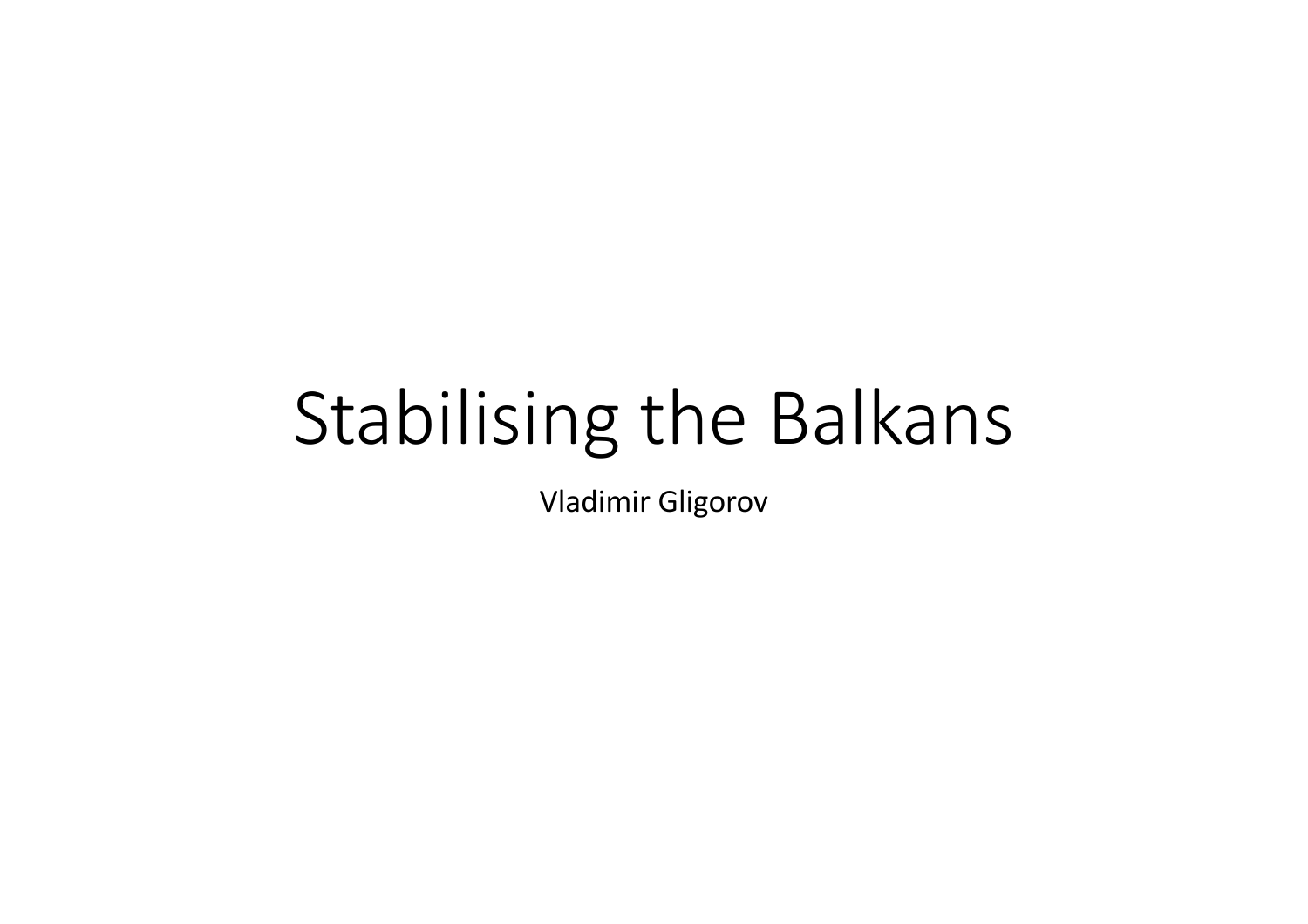# Stabilising the Balkans

Vladimir Gligorov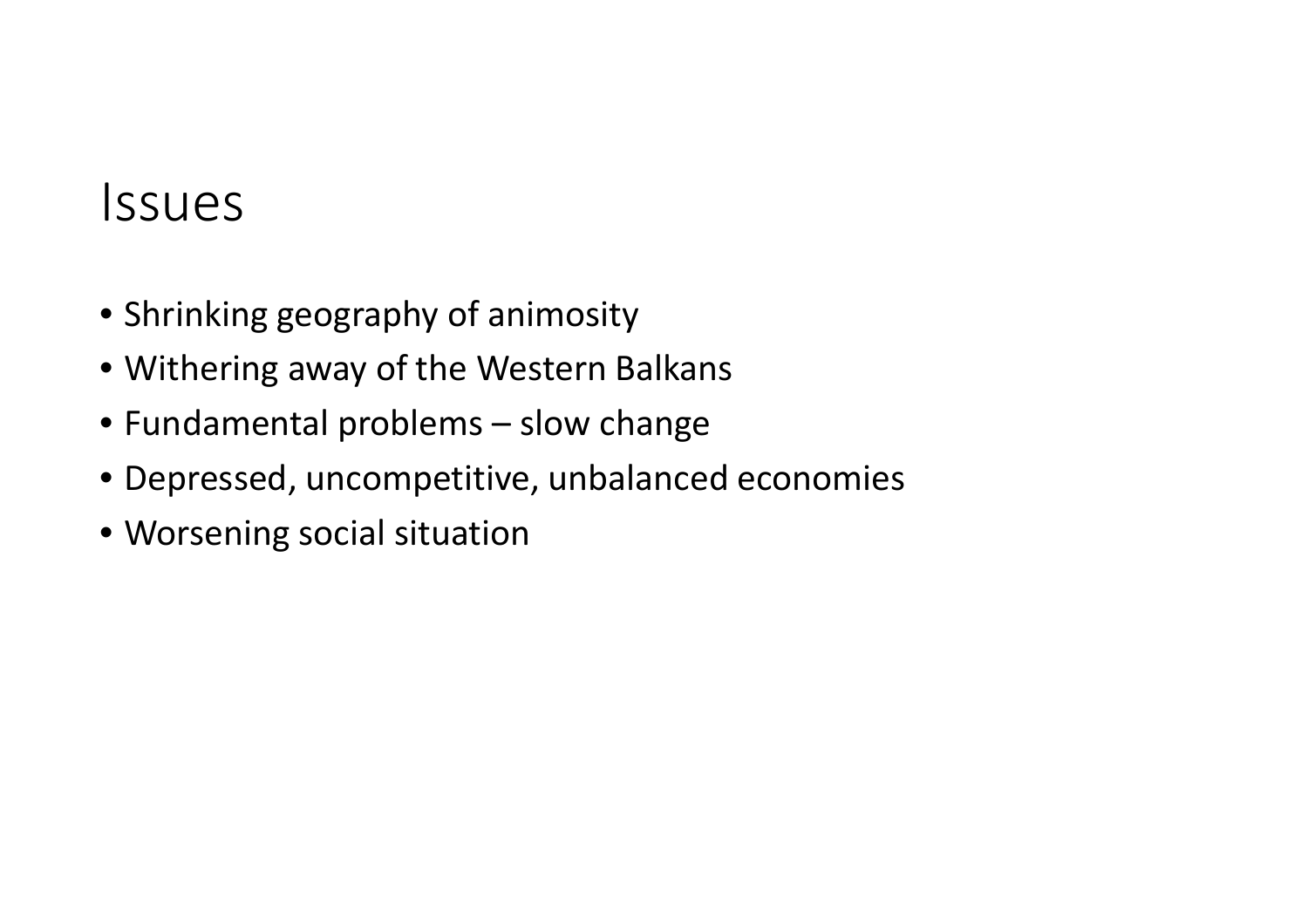### Issues

- Shrinking geography of animosity
- Withering away of the Western Balkans
- Fundamental problems slow change
- Depressed, uncompetitive, unbalanced economies
- Worsening social situation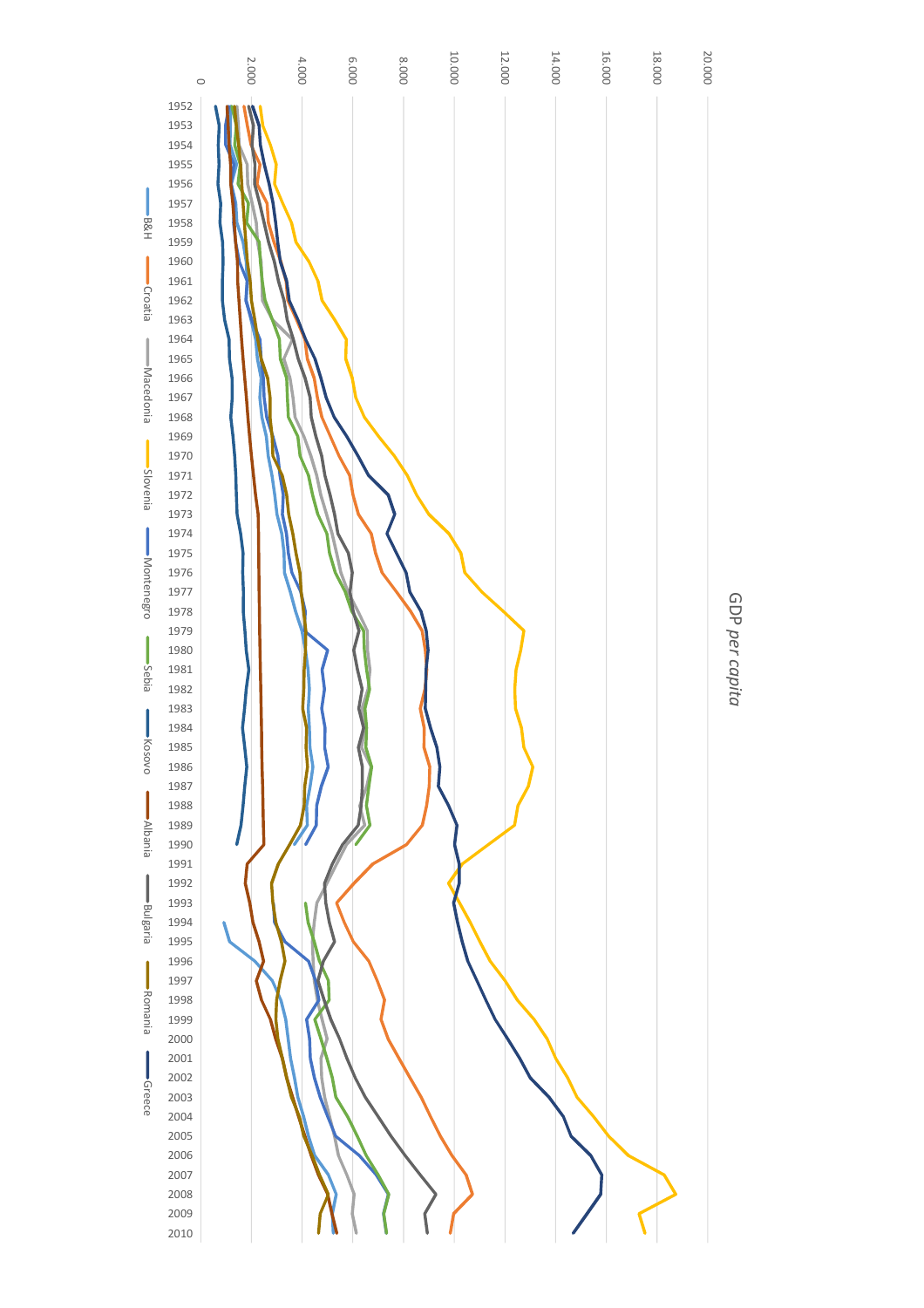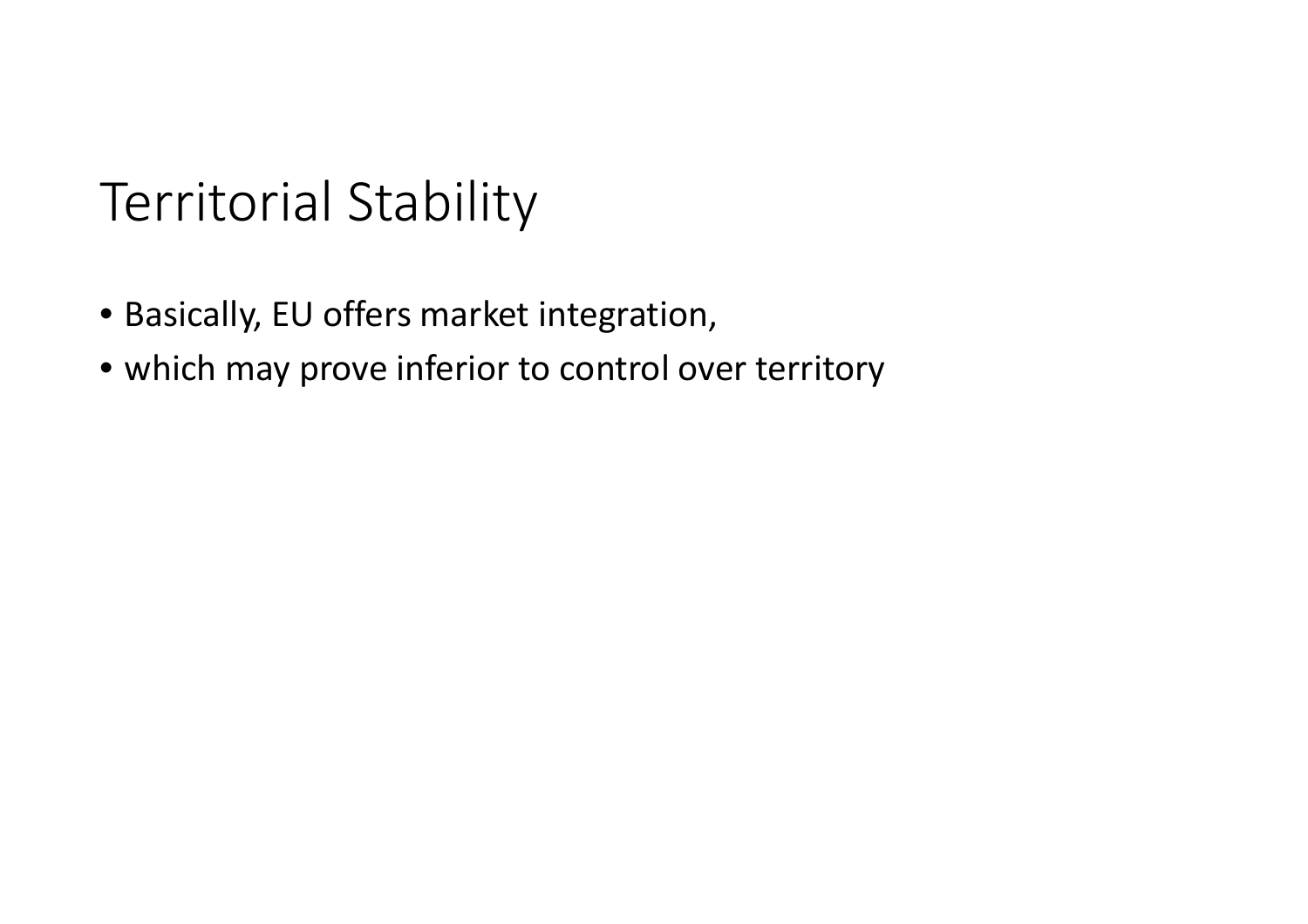### Territorial Stability

- Basically, EU offers market integration,
- which may prove inferior to control over territory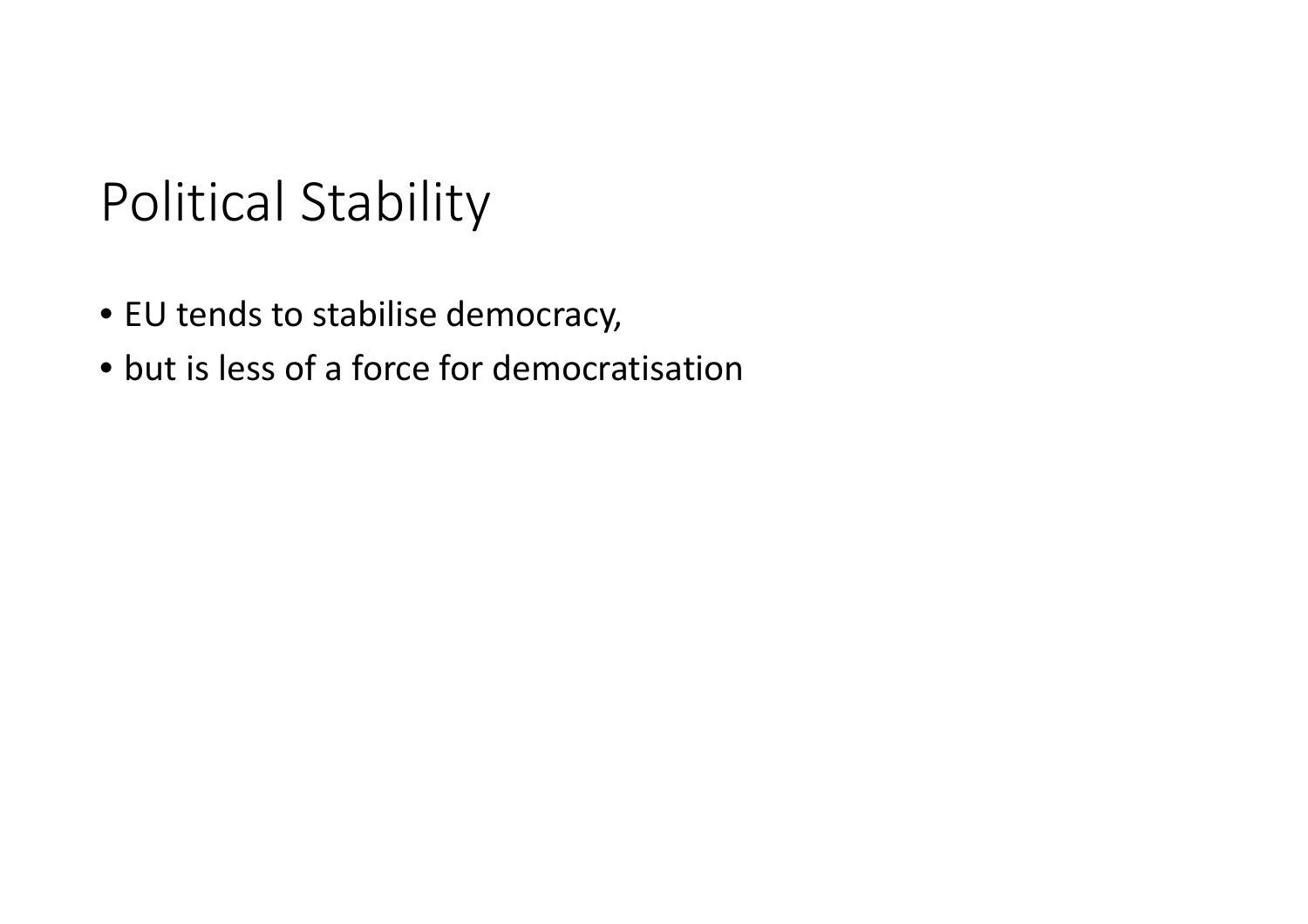## Political Stability

- EU tends to stabilise democracy,
- but is less of a force for democratisation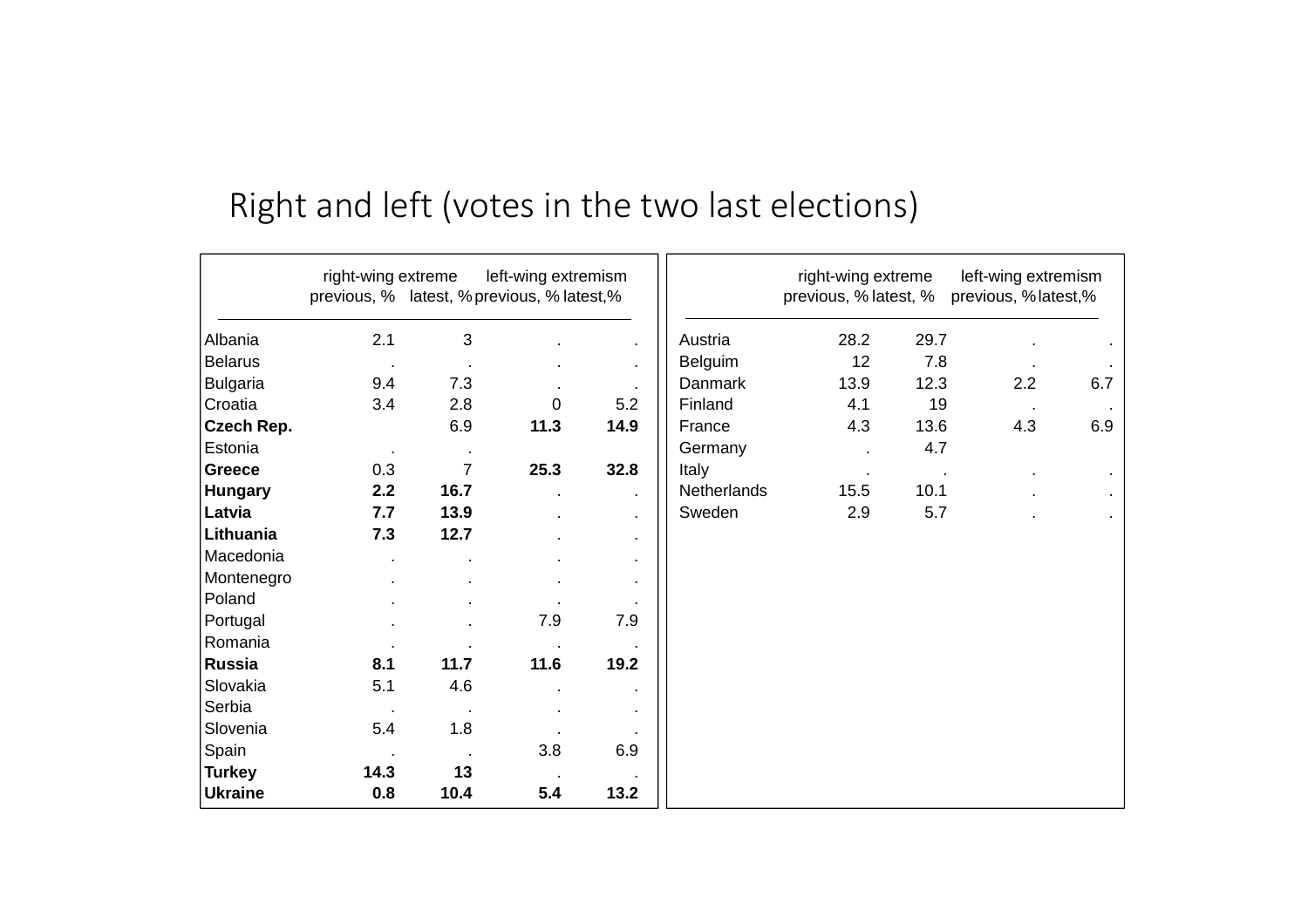#### Right and left (votes in the two last elections)

|                 | right-wing extreme<br>previous, % latest, % previous, % latest,% |                | left-wing extremism |              |                | right-wing extreme<br>previous, % latest, % |      | left-wing extremism<br>previous, % latest,% |     |
|-----------------|------------------------------------------------------------------|----------------|---------------------|--------------|----------------|---------------------------------------------|------|---------------------------------------------|-----|
| Albania         | 2.1                                                              | 3              |                     |              | Austria        | 28.2                                        | 29.7 |                                             |     |
| <b>Belarus</b>  | $\bullet$                                                        | $\bullet$      |                     | $\sim$       | <b>Belguim</b> | 12                                          | 7.8  |                                             |     |
| <b>Bulgaria</b> | 9.4                                                              | 7.3            |                     |              | <b>Danmark</b> | 13.9                                        | 12.3 | 2.2                                         | 6.7 |
| Croatia         | 3.4                                                              | 2.8            | $\mathbf 0$         | 5.2          | Finland        | 4.1                                         | 19   |                                             |     |
| Czech Rep.      |                                                                  | 6.9            | 11.3                | 14.9         | France         | 4.3                                         | 13.6 | 4.3                                         | 6.9 |
| Estonia         | $\sim$                                                           | $\blacksquare$ |                     |              | Germany        |                                             | 4.7  |                                             |     |
| <b>Greece</b>   | 0.3                                                              | $\overline{7}$ | 25.3                | 32.8         | Italy          |                                             |      |                                             |     |
| <b>Hungary</b>  | 2.2                                                              | 16.7           |                     | $\mathbf{r}$ | Netherlands    | 15.5                                        | 10.1 |                                             |     |
| Latvia          | 7.7                                                              | 13.9           |                     | $\mathbf{r}$ | Sweden         | 2.9                                         | 5.7  |                                             |     |
| Lithuania       | 7.3                                                              | 12.7           |                     | $\bullet$    |                |                                             |      |                                             |     |
| Macedonia       |                                                                  |                |                     |              |                |                                             |      |                                             |     |
| Montenegro      |                                                                  |                |                     |              |                |                                             |      |                                             |     |
| Poland          |                                                                  |                |                     |              |                |                                             |      |                                             |     |
| Portugal        |                                                                  |                | 7.9                 | 7.9          |                |                                             |      |                                             |     |
| Romania         |                                                                  |                |                     |              |                |                                             |      |                                             |     |
| <b>Russia</b>   | 8.1                                                              | 11.7           | 11.6                | 19.2         |                |                                             |      |                                             |     |
| Slovakia        | 5.1                                                              | 4.6            |                     |              |                |                                             |      |                                             |     |
| Serbia          |                                                                  |                |                     |              |                |                                             |      |                                             |     |
| Slovenia        | 5.4                                                              | 1.8            |                     |              |                |                                             |      |                                             |     |
| Spain           |                                                                  |                | 3.8                 | 6.9          |                |                                             |      |                                             |     |
| <b>Turkey</b>   | 14.3                                                             | 13             | $\sim$              |              |                |                                             |      |                                             |     |
| <b>Ukraine</b>  | 0.8                                                              | 10.4           | 5.4                 | 13.2         |                |                                             |      |                                             |     |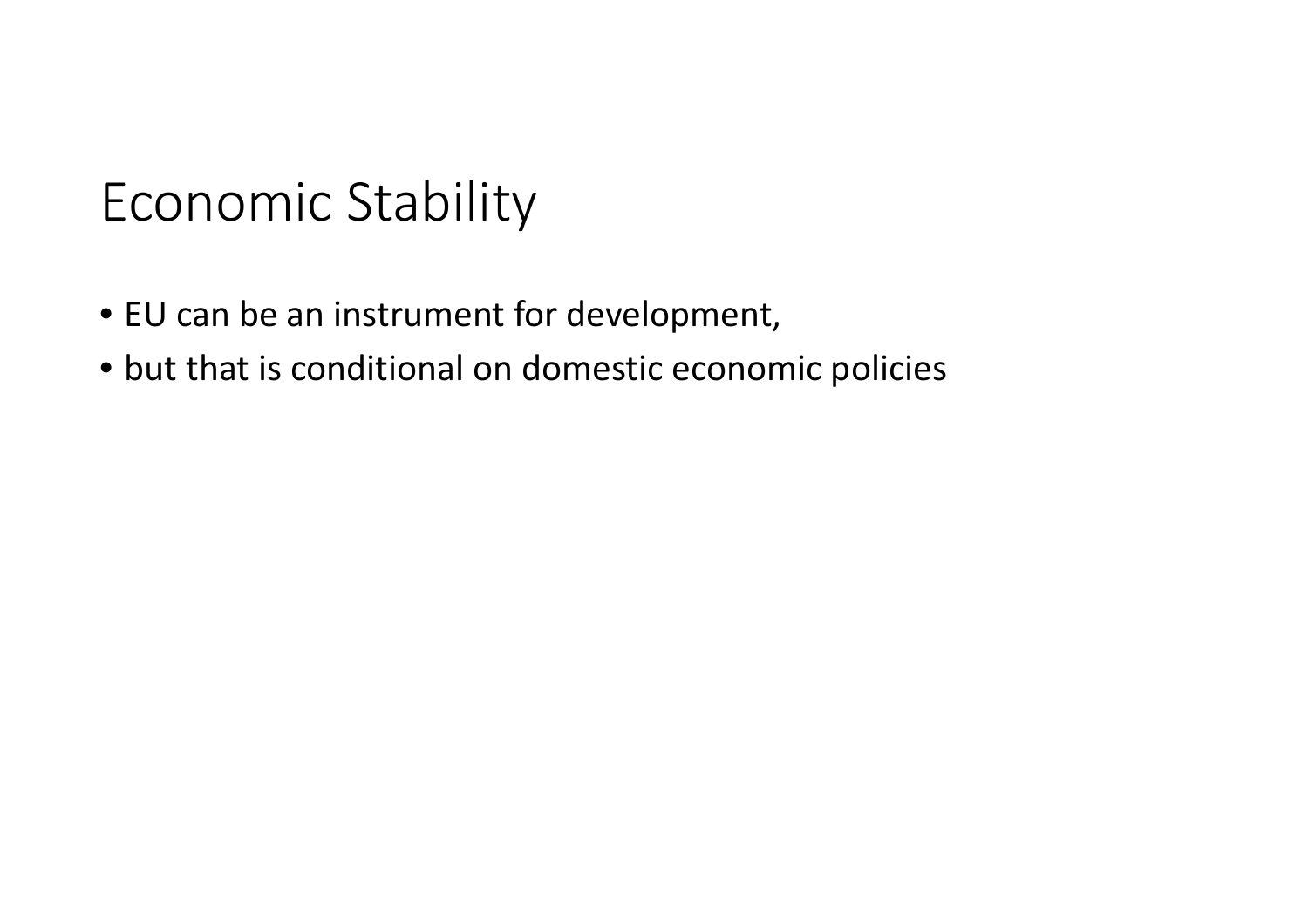### Economic Stability

- EU can be an instrument for development,
- but that is conditional on domestic economic policies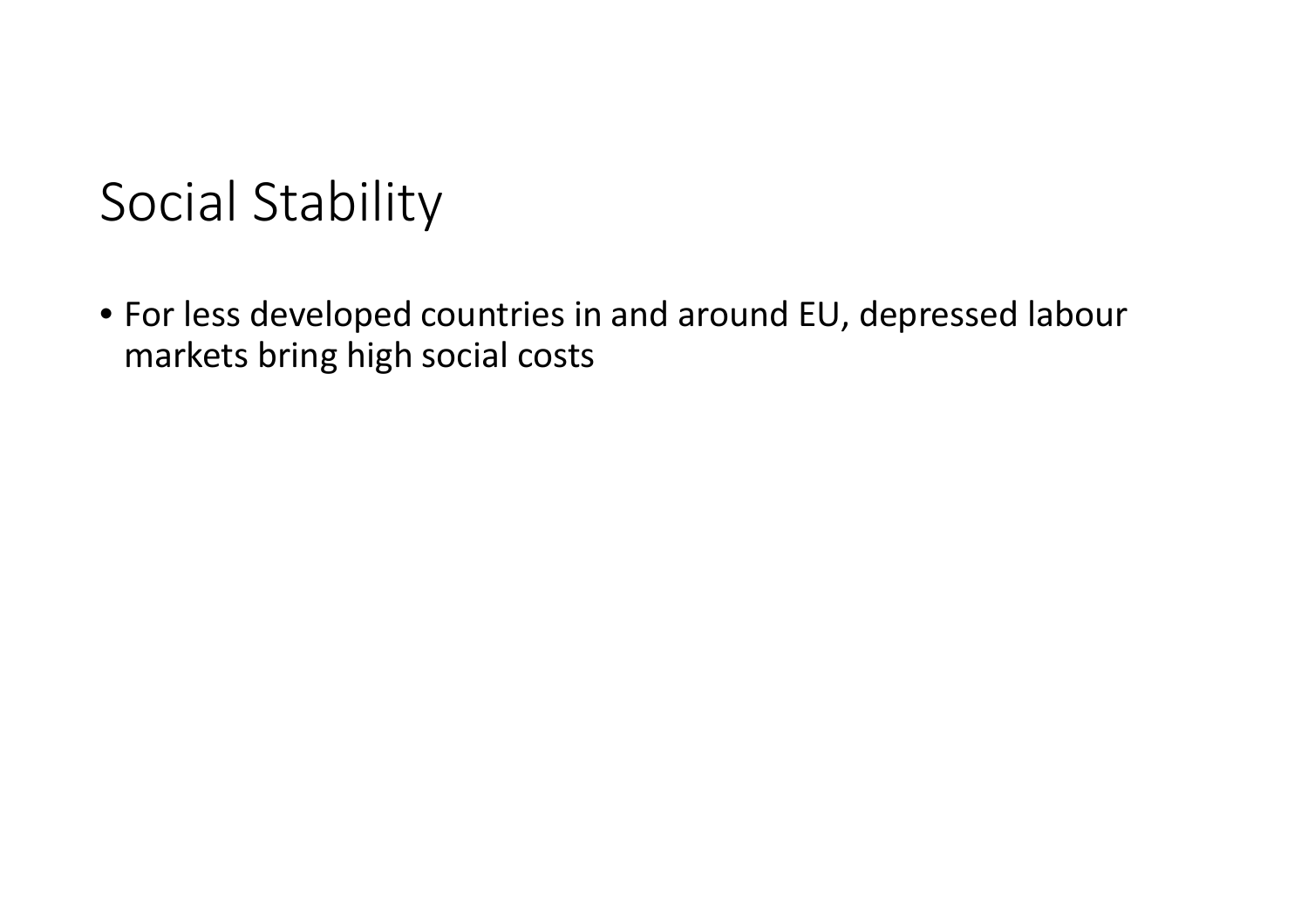### Social Stability

• For less developed countries in and around EU, depressed labour markets bring high social costs